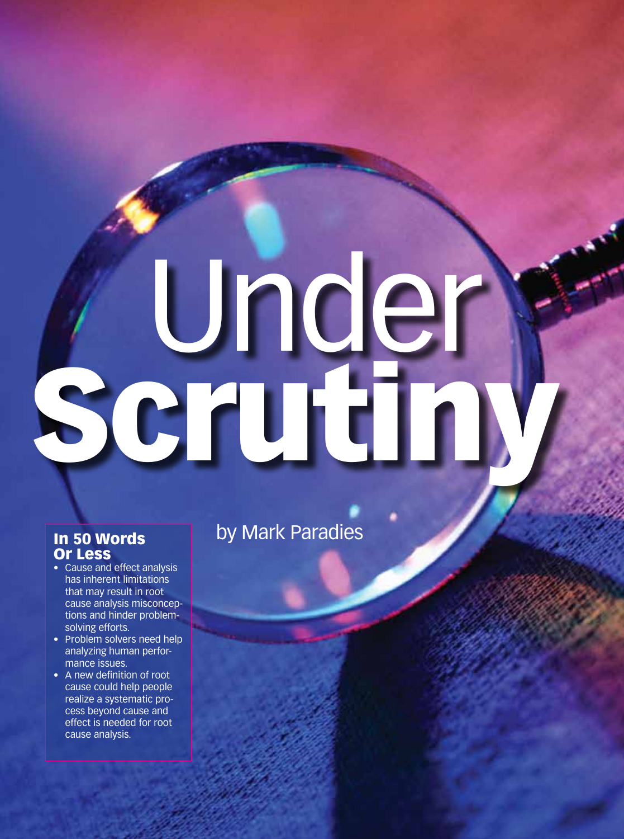# Under Scrutiny

## In 50 Words Or Less

- Cause and effect analysis has inherent limitations that may result in root cause analysis misconceptions and hinder problemsolving efforts.
- Problem solvers need help analyzing human performance issues.
- A new definition of root cause could help people realize a systematic process beyond cause and effect is needed for root cause analysis.

by Mark Paradies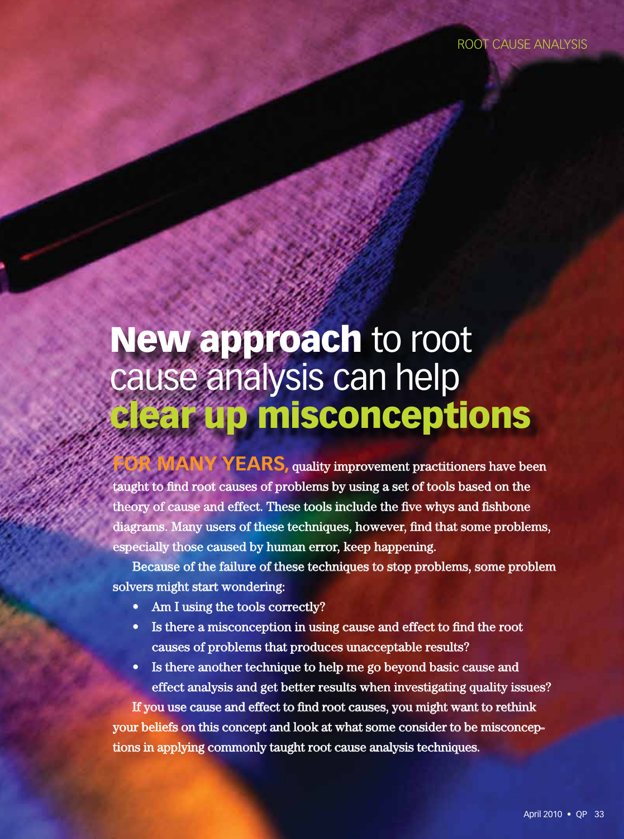# New approach to root cause analysis can help clear up misconceptions

**FORS**, quality improvement practitioners have been taught to find root causes of problems by using a set of tools based on the theory of cause and effect. These tools include the five whys and fishbone diagrams. Many users of these techniques, however, find that some problems, especially those caused by human error, keep happening.

Because of the failure of these techniques to stop problems, some problem solvers might start wondering:

- Am I using the tools correctly?
- Is there a misconception in using cause and effect to find the root causes of problems that produces unacceptable results?
- Is there another technique to help me go beyond basic cause and effect analysis and get better results when investigating quality issues?

If you use cause and effect to find root causes, you might want to rethink your beliefs on this concept and look at what some consider to be misconceptions in applying commonly taught root cause analysis techniques.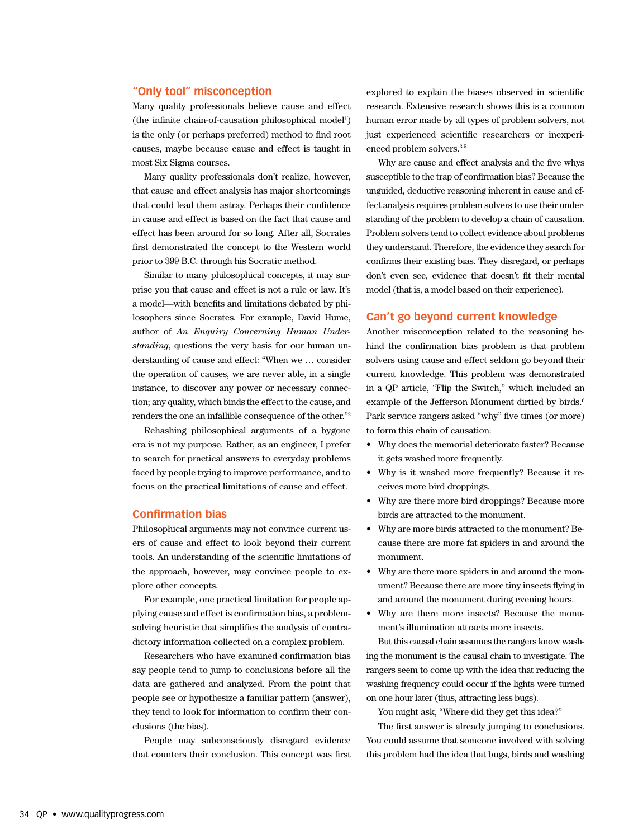### **"Only tool" misconception**

Many quality professionals believe cause and effect (the infinite chain-of-causation philosophical model<sup>1</sup>) is the only (or perhaps preferred) method to find root causes, maybe because cause and effect is taught in most Six Sigma courses.

Many quality professionals don't realize, however, that cause and effect analysis has major shortcomings that could lead them astray. Perhaps their confidence in cause and effect is based on the fact that cause and effect has been around for so long. After all, Socrates first demonstrated the concept to the Western world prior to 399 B.C. through his Socratic method.

Similar to many philosophical concepts, it may surprise you that cause and effect is not a rule or law. It's a model—with benefits and limitations debated by philosophers since Socrates. For example, David Hume, author of *An Enquiry Concerning Human Understanding*, questions the very basis for our human understanding of cause and effect: "When we … consider the operation of causes, we are never able, in a single instance, to discover any power or necessary connection; any quality, which binds the effect to the cause, and renders the one an infallible consequence of the other."<sup>2</sup>

Rehashing philosophical arguments of a bygone era is not my purpose. Rather, as an engineer, I prefer to search for practical answers to everyday problems faced by people trying to improve performance, and to focus on the practical limitations of cause and effect.

### **Confirmation bias**

Philosophical arguments may not convince current users of cause and effect to look beyond their current tools. An understanding of the scientific limitations of the approach, however, may convince people to explore other concepts.

For example, one practical limitation for people applying cause and effect is confirmation bias, a problemsolving heuristic that simplifies the analysis of contradictory information collected on a complex problem.

Researchers who have examined confirmation bias say people tend to jump to conclusions before all the data are gathered and analyzed. From the point that people see or hypothesize a familiar pattern (answer), they tend to look for information to confirm their conclusions (the bias).

People may subconsciously disregard evidence that counters their conclusion. This concept was first explored to explain the biases observed in scientific research. Extensive research shows this is a common human error made by all types of problem solvers, not just experienced scientific researchers or inexperienced problem solvers.<sup>3-5</sup>

Why are cause and effect analysis and the five whys susceptible to the trap of confirmation bias? Because the unguided, deductive reasoning inherent in cause and effect analysis requires problem solvers to use their understanding of the problem to develop a chain of causation. Problem solvers tend to collect evidence about problems they understand. Therefore, the evidence they search for confirms their existing bias. They disregard, or perhaps don't even see, evidence that doesn't fit their mental model (that is, a model based on their experience).

### **Can't go beyond current knowledge**

Another misconception related to the reasoning behind the confirmation bias problem is that problem solvers using cause and effect seldom go beyond their current knowledge. This problem was demonstrated in a QP article, "Flip the Switch," which included an example of the Jefferson Monument dirtied by birds.<sup>6</sup> Park service rangers asked "why" five times (or more) to form this chain of causation:

- Why does the memorial deteriorate faster? Because it gets washed more frequently.
- Why is it washed more frequently? Because it receives more bird droppings.
- Why are there more bird droppings? Because more birds are attracted to the monument.
- Why are more birds attracted to the monument? Because there are more fat spiders in and around the monument.
- Why are there more spiders in and around the monument? Because there are more tiny insects flying in and around the monument during evening hours.
- Why are there more insects? Because the monument's illumination attracts more insects.

But this causal chain assumes the rangers know washing the monument is the causal chain to investigate. The rangers seem to come up with the idea that reducing the washing frequency could occur if the lights were turned on one hour later (thus, attracting less bugs).

You might ask, "Where did they get this idea?"

The first answer is already jumping to conclusions. You could assume that someone involved with solving this problem had the idea that bugs, birds and washing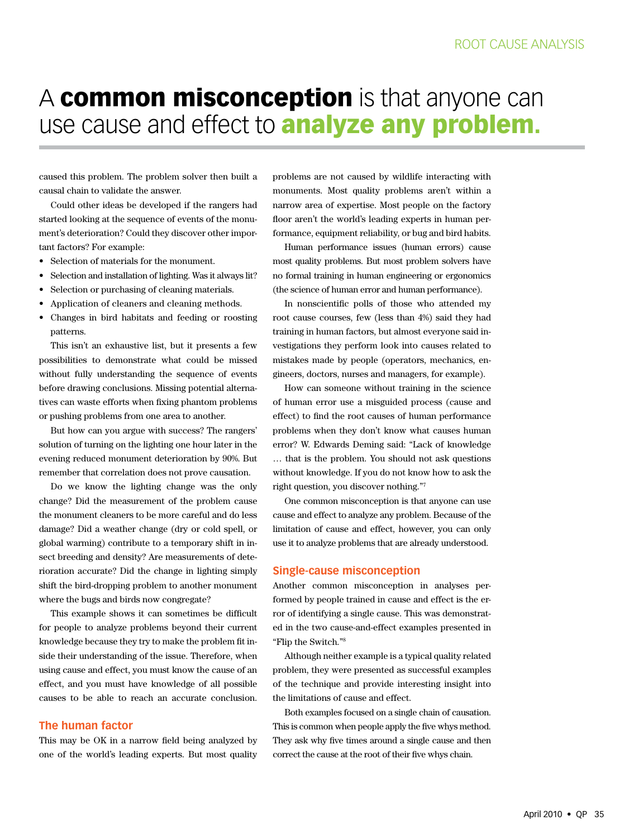# A common misconception is that anyone can use cause and effect to **analyze any problem.**

caused this problem. The problem solver then built a causal chain to validate the answer.

Could other ideas be developed if the rangers had started looking at the sequence of events of the monument's deterioration? Could they discover other important factors? For example:

- Selection of materials for the monument.
- Selection and installation of lighting. Was it always lit?
- Selection or purchasing of cleaning materials.
- Application of cleaners and cleaning methods.
- Changes in bird habitats and feeding or roosting patterns.

This isn't an exhaustive list, but it presents a few possibilities to demonstrate what could be missed without fully understanding the sequence of events before drawing conclusions. Missing potential alternatives can waste efforts when fixing phantom problems or pushing problems from one area to another.

But how can you argue with success? The rangers' solution of turning on the lighting one hour later in the evening reduced monument deterioration by 90%. But remember that correlation does not prove causation.

Do we know the lighting change was the only change? Did the measurement of the problem cause the monument cleaners to be more careful and do less damage? Did a weather change (dry or cold spell, or global warming) contribute to a temporary shift in insect breeding and density? Are measurements of deterioration accurate? Did the change in lighting simply shift the bird-dropping problem to another monument where the bugs and birds now congregate?

This example shows it can sometimes be difficult for people to analyze problems beyond their current knowledge because they try to make the problem fit inside their understanding of the issue. Therefore, when using cause and effect, you must know the cause of an effect, and you must have knowledge of all possible causes to be able to reach an accurate conclusion.

### **The human factor**

This may be OK in a narrow field being analyzed by one of the world's leading experts. But most quality problems are not caused by wildlife interacting with monuments. Most quality problems aren't within a narrow area of expertise. Most people on the factory floor aren't the world's leading experts in human performance, equipment reliability, or bug and bird habits.

Human performance issues (human errors) cause most quality problems. But most problem solvers have no formal training in human engineering or ergonomics (the science of human error and human performance).

In nonscientific polls of those who attended my root cause courses, few (less than 4%) said they had training in human factors, but almost everyone said investigations they perform look into causes related to mistakes made by people (operators, mechanics, engineers, doctors, nurses and managers, for example).

How can someone without training in the science of human error use a misguided process (cause and effect) to find the root causes of human performance problems when they don't know what causes human error? W. Edwards Deming said: "Lack of knowledge … that is the problem. You should not ask questions without knowledge. If you do not know how to ask the right question, you discover nothing."<sup>7</sup>

One common misconception is that anyone can use cause and effect to analyze any problem. Because of the limitation of cause and effect, however, you can only use it to analyze problems that are already understood.

### **single-cause misconception**

Another common misconception in analyses performed by people trained in cause and effect is the error of identifying a single cause. This was demonstrated in the two cause-and-effect examples presented in "Flip the Switch."<sup>8</sup>

Although neither example is a typical quality related problem, they were presented as successful examples of the technique and provide interesting insight into the limitations of cause and effect.

Both examples focused on a single chain of causation. This is common when people apply the five whys method. They ask why five times around a single cause and then correct the cause at the root of their five whys chain.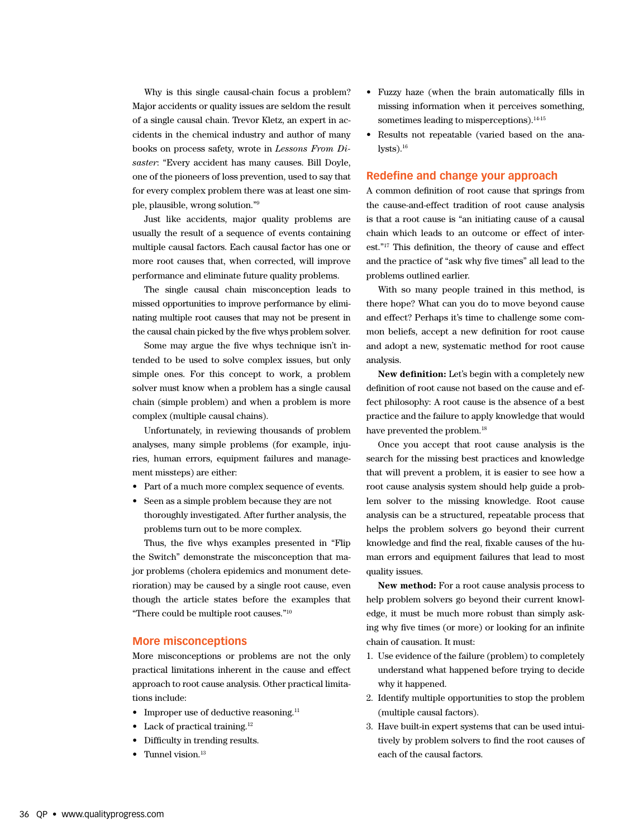Why is this single causal-chain focus a problem? Major accidents or quality issues are seldom the result of a single causal chain. Trevor Kletz, an expert in accidents in the chemical industry and author of many books on process safety, wrote in *Lessons From Disaster*: "Every accident has many causes. Bill Doyle, one of the pioneers of loss prevention, used to say that for every complex problem there was at least one simple, plausible, wrong solution."<sup>9</sup>

Just like accidents, major quality problems are usually the result of a sequence of events containing multiple causal factors. Each causal factor has one or more root causes that, when corrected, will improve performance and eliminate future quality problems.

The single causal chain misconception leads to missed opportunities to improve performance by eliminating multiple root causes that may not be present in the causal chain picked by the five whys problem solver.

Some may argue the five whys technique isn't intended to be used to solve complex issues, but only simple ones. For this concept to work, a problem solver must know when a problem has a single causal chain (simple problem) and when a problem is more complex (multiple causal chains).

Unfortunately, in reviewing thousands of problem analyses, many simple problems (for example, injuries, human errors, equipment failures and management missteps) are either:

- Part of a much more complex sequence of events.
- Seen as a simple problem because they are not thoroughly investigated. After further analysis, the problems turn out to be more complex.

Thus, the five whys examples presented in "Flip the Switch" demonstrate the misconception that major problems (cholera epidemics and monument deterioration) may be caused by a single root cause, even though the article states before the examples that "There could be multiple root causes."<sup>10</sup>

### **More misconceptions**

More misconceptions or problems are not the only practical limitations inherent in the cause and effect approach to root cause analysis. Other practical limitations include:

- Improper use of deductive reasoning.<sup>11</sup>
- Lack of practical training. $12$
- Difficulty in trending results.
- Tunnel vision. $13$
- Fuzzy haze (when the brain automatically fills in missing information when it perceives something, sometimes leading to misperceptions).<sup>14-15</sup>
- Results not repeatable (varied based on the ana $lysts$ ).<sup>16</sup>

### **Redefine and change your approach**

A common definition of root cause that springs from the cause-and-effect tradition of root cause analysis is that a root cause is "an initiating cause of a causal chain which leads to an outcome or effect of interest."<sup>17</sup> This definition, the theory of cause and effect and the practice of "ask why five times" all lead to the problems outlined earlier.

With so many people trained in this method, is there hope? What can you do to move beyond cause and effect? Perhaps it's time to challenge some common beliefs, accept a new definition for root cause and adopt a new, systematic method for root cause analysis.

**New definition:** Let's begin with a completely new definition of root cause not based on the cause and effect philosophy: A root cause is the absence of a best practice and the failure to apply knowledge that would have prevented the problem.<sup>18</sup>

Once you accept that root cause analysis is the search for the missing best practices and knowledge that will prevent a problem, it is easier to see how a root cause analysis system should help guide a problem solver to the missing knowledge. Root cause analysis can be a structured, repeatable process that helps the problem solvers go beyond their current knowledge and find the real, fixable causes of the human errors and equipment failures that lead to most quality issues.

**New method:** For a root cause analysis process to help problem solvers go beyond their current knowledge, it must be much more robust than simply asking why five times (or more) or looking for an infinite chain of causation. It must:

- 1. Use evidence of the failure (problem) to completely understand what happened before trying to decide why it happened.
- 2. Identify multiple opportunities to stop the problem (multiple causal factors).
- 3. Have built-in expert systems that can be used intuitively by problem solvers to find the root causes of each of the causal factors.